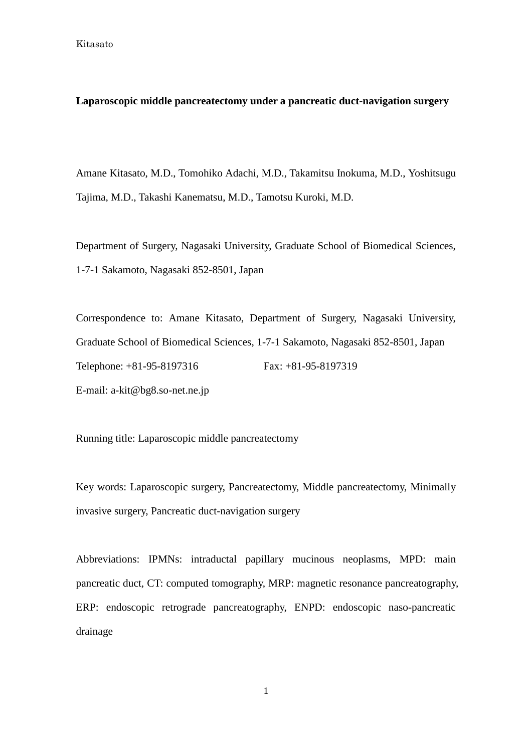#### **Laparoscopic middle pancreatectomy under a pancreatic duct-navigation surgery**

Amane Kitasato, M.D., Tomohiko Adachi, M.D., Takamitsu Inokuma, M.D., Yoshitsugu Tajima, M.D., Takashi Kanematsu, M.D., Tamotsu Kuroki, M.D.

Department of Surgery, Nagasaki University, Graduate School of Biomedical Sciences, 1-7-1 Sakamoto, Nagasaki 852-8501, Japan

Correspondence to: Amane Kitasato, Department of Surgery, Nagasaki University, Graduate School of Biomedical Sciences, 1-7-1 Sakamoto, Nagasaki 852-8501, Japan Telephone: +81-95-8197316 Fax: +81-95-8197319 E-mail: a-kit@bg8.so-net.ne.jp

Running title: Laparoscopic middle pancreatectomy

Key words: Laparoscopic surgery, Pancreatectomy, Middle pancreatectomy, Minimally invasive surgery, Pancreatic duct-navigation surgery

Abbreviations: IPMNs: intraductal papillary mucinous neoplasms, MPD: main pancreatic duct, CT: computed tomography, MRP: magnetic resonance pancreatography, ERP: endoscopic retrograde pancreatography, ENPD: endoscopic naso-pancreatic drainage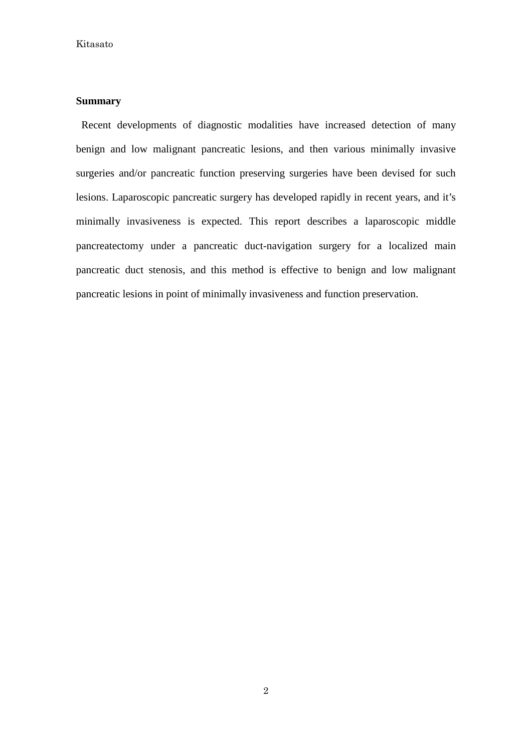#### **Summary**

Recent developments of diagnostic modalities have increased detection of many benign and low malignant pancreatic lesions, and then various minimally invasive surgeries and/or pancreatic function preserving surgeries have been devised for such lesions. Laparoscopic pancreatic surgery has developed rapidly in recent years, and it's minimally invasiveness is expected. This report describes a laparoscopic middle pancreatectomy under a pancreatic duct-navigation surgery for a localized main pancreatic duct stenosis, and this method is effective to benign and low malignant pancreatic lesions in point of minimally invasiveness and function preservation.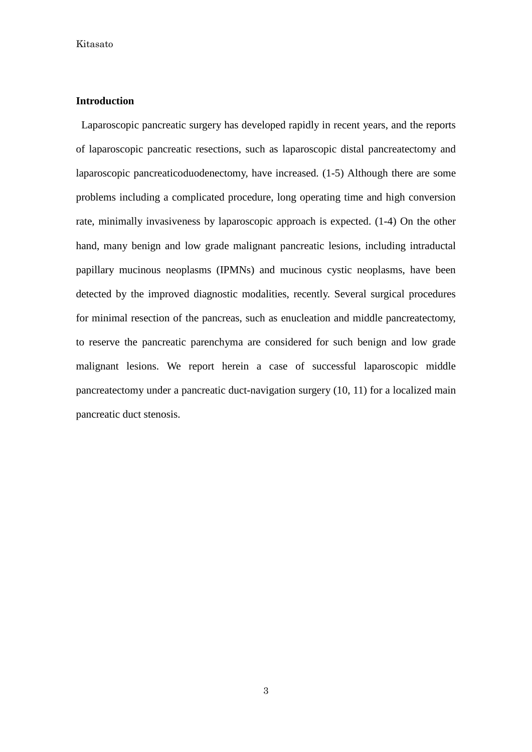#### **Introduction**

Laparoscopic pancreatic surgery has developed rapidly in recent years, and the reports of laparoscopic pancreatic resections, such as laparoscopic distal pancreatectomy and laparoscopic pancreaticoduodenectomy, have increased. (1-5) Although there are some problems including a complicated procedure, long operating time and high conversion rate, minimally invasiveness by laparoscopic approach is expected. (1-4) On the other hand, many benign and low grade malignant pancreatic lesions, including intraductal papillary mucinous neoplasms (IPMNs) and mucinous cystic neoplasms, have been detected by the improved diagnostic modalities, recently. Several surgical procedures for minimal resection of the pancreas, such as enucleation and middle pancreatectomy, to reserve the pancreatic parenchyma are considered for such benign and low grade malignant lesions. We report herein a case of successful laparoscopic middle pancreatectomy under a pancreatic duct-navigation surgery (10, 11) for a localized main pancreatic duct stenosis.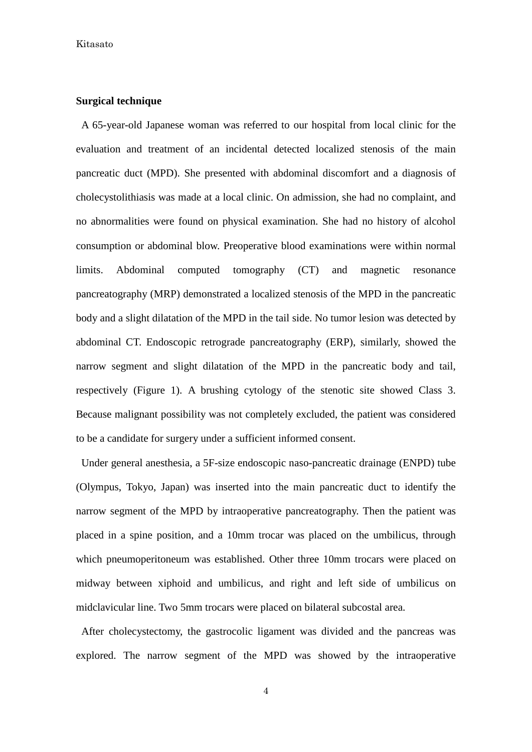#### **Surgical technique**

A 65-year-old Japanese woman was referred to our hospital from local clinic for the evaluation and treatment of an incidental detected localized stenosis of the main pancreatic duct (MPD). She presented with abdominal discomfort and a diagnosis of cholecystolithiasis was made at a local clinic. On admission, she had no complaint, and no abnormalities were found on physical examination. She had no history of alcohol consumption or abdominal blow. Preoperative blood examinations were within normal limits. Abdominal computed tomography (CT) and magnetic resonance pancreatography (MRP) demonstrated a localized stenosis of the MPD in the pancreatic body and a slight dilatation of the MPD in the tail side. No tumor lesion was detected by abdominal CT. Endoscopic retrograde pancreatography (ERP), similarly, showed the narrow segment and slight dilatation of the MPD in the pancreatic body and tail, respectively (Figure 1). A brushing cytology of the stenotic site showed Class 3. Because malignant possibility was not completely excluded, the patient was considered to be a candidate for surgery under a sufficient informed consent.

Under general anesthesia, a 5F-size endoscopic naso-pancreatic drainage (ENPD) tube (Olympus, Tokyo, Japan) was inserted into the main pancreatic duct to identify the narrow segment of the MPD by intraoperative pancreatography. Then the patient was placed in a spine position, and a 10mm trocar was placed on the umbilicus, through which pneumoperitoneum was established. Other three 10mm trocars were placed on midway between xiphoid and umbilicus, and right and left side of umbilicus on midclavicular line. Two 5mm trocars were placed on bilateral subcostal area.

After cholecystectomy, the gastrocolic ligament was divided and the pancreas was explored. The narrow segment of the MPD was showed by the intraoperative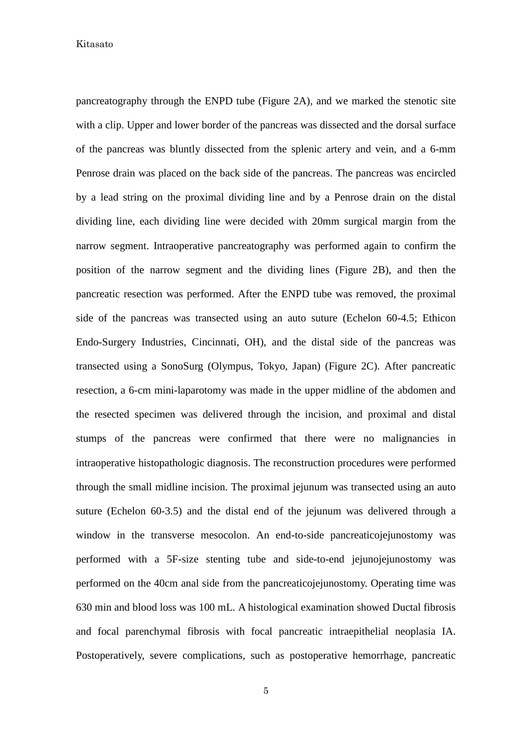pancreatography through the ENPD tube (Figure 2A), and we marked the stenotic site with a clip. Upper and lower border of the pancreas was dissected and the dorsal surface of the pancreas was bluntly dissected from the splenic artery and vein, and a 6-mm Penrose drain was placed on the back side of the pancreas. The pancreas was encircled by a lead string on the proximal dividing line and by a Penrose drain on the distal dividing line, each dividing line were decided with 20mm surgical margin from the narrow segment. Intraoperative pancreatography was performed again to confirm the position of the narrow segment and the dividing lines (Figure 2B), and then the pancreatic resection was performed. After the ENPD tube was removed, the proximal side of the pancreas was transected using an auto suture (Echelon 60-4.5; Ethicon Endo-Surgery Industries, Cincinnati, OH), and the distal side of the pancreas was transected using a SonoSurg (Olympus, Tokyo, Japan) (Figure 2C). After pancreatic resection, a 6-cm mini-laparotomy was made in the upper midline of the abdomen and the resected specimen was delivered through the incision, and proximal and distal stumps of the pancreas were confirmed that there were no malignancies in intraoperative histopathologic diagnosis. The reconstruction procedures were performed through the small midline incision. The proximal jejunum was transected using an auto suture (Echelon 60-3.5) and the distal end of the jejunum was delivered through a window in the transverse mesocolon. An end-to-side pancreaticojejunostomy was performed with a 5F-size stenting tube and side-to-end jejunojejunostomy was performed on the 40cm anal side from the pancreaticojejunostomy. Operating time was 630 min and blood loss was 100 mL. A histological examination showed Ductal fibrosis and focal parenchymal fibrosis with focal pancreatic intraepithelial neoplasia IA. Postoperatively, severe complications, such as postoperative hemorrhage, pancreatic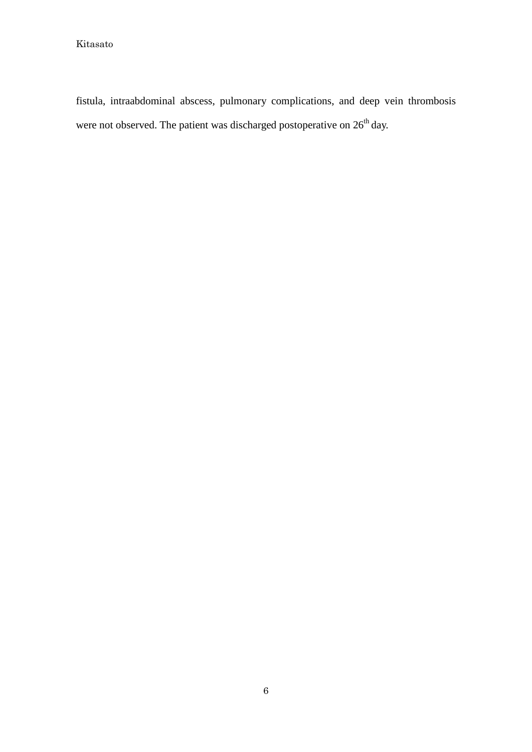fistula, intraabdominal abscess, pulmonary complications, and deep vein thrombosis were not observed. The patient was discharged postoperative on  $26<sup>th</sup>$  day.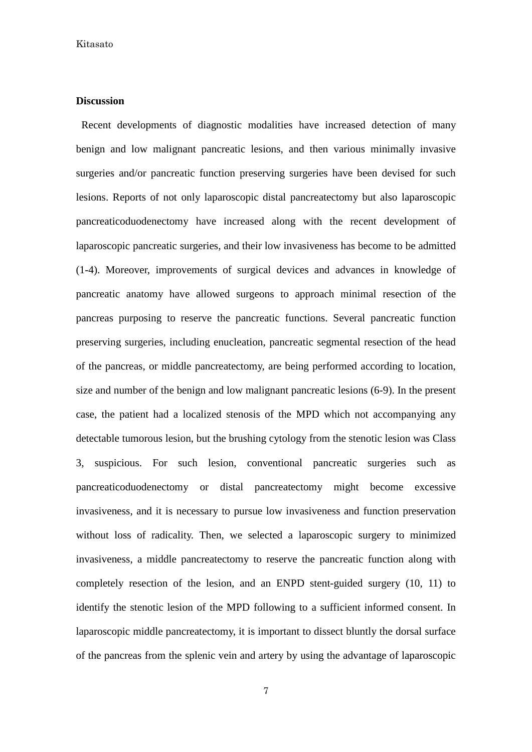#### **Discussion**

Recent developments of diagnostic modalities have increased detection of many benign and low malignant pancreatic lesions, and then various minimally invasive surgeries and/or pancreatic function preserving surgeries have been devised for such lesions. Reports of not only laparoscopic distal pancreatectomy but also laparoscopic pancreaticoduodenectomy have increased along with the recent development of laparoscopic pancreatic surgeries, and their low invasiveness has become to be admitted (1-4). Moreover, improvements of surgical devices and advances in knowledge of pancreatic anatomy have allowed surgeons to approach minimal resection of the pancreas purposing to reserve the pancreatic functions. Several pancreatic function preserving surgeries, including enucleation, pancreatic segmental resection of the head of the pancreas, or middle pancreatectomy, are being performed according to location, size and number of the benign and low malignant pancreatic lesions (6-9). In the present case, the patient had a localized stenosis of the MPD which not accompanying any detectable tumorous lesion, but the brushing cytology from the stenotic lesion was Class 3, suspicious. For such lesion, conventional pancreatic surgeries such as pancreaticoduodenectomy or distal pancreatectomy might become excessive invasiveness, and it is necessary to pursue low invasiveness and function preservation without loss of radicality. Then, we selected a laparoscopic surgery to minimized invasiveness, a middle pancreatectomy to reserve the pancreatic function along with completely resection of the lesion, and an ENPD stent-guided surgery (10, 11) to identify the stenotic lesion of the MPD following to a sufficient informed consent. In laparoscopic middle pancreatectomy, it is important to dissect bluntly the dorsal surface of the pancreas from the splenic vein and artery by using the advantage of laparoscopic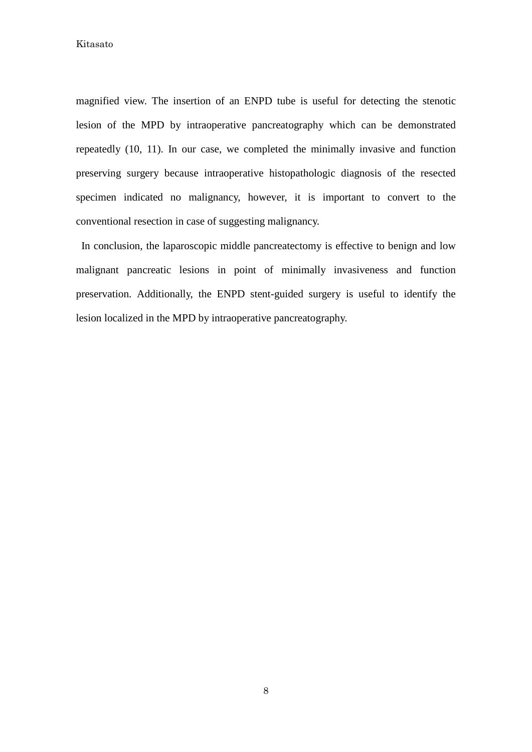magnified view. The insertion of an ENPD tube is useful for detecting the stenotic lesion of the MPD by intraoperative pancreatography which can be demonstrated repeatedly (10, 11). In our case, we completed the minimally invasive and function preserving surgery because intraoperative histopathologic diagnosis of the resected specimen indicated no malignancy, however, it is important to convert to the conventional resection in case of suggesting malignancy.

In conclusion, the laparoscopic middle pancreatectomy is effective to benign and low malignant pancreatic lesions in point of minimally invasiveness and function preservation. Additionally, the ENPD stent-guided surgery is useful to identify the lesion localized in the MPD by intraoperative pancreatography.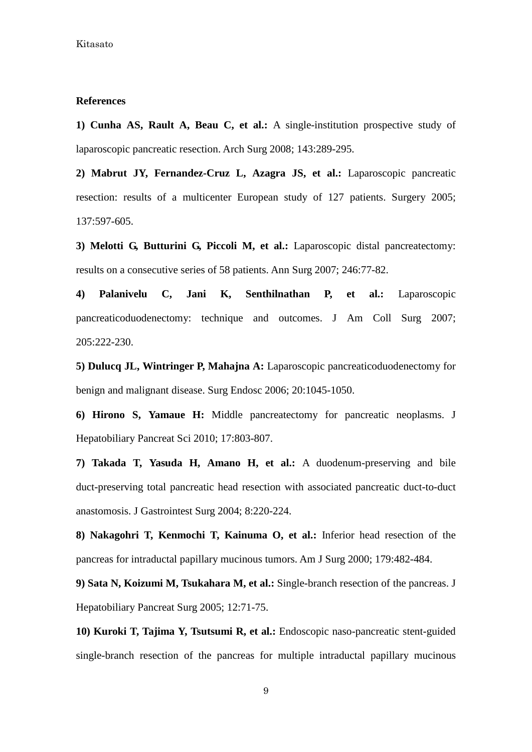#### **References**

**1) Cunha AS, Rault A, Beau C, et al.:** A single-institution prospective study of laparoscopic pancreatic resection. Arch Surg 2008; 143:289-295.

**2) Mabrut JY, Fernandez-Cruz L, Azagra JS, et al.:** Laparoscopic pancreatic resection: results of a multicenter European study of 127 patients. Surgery 2005; 137:597-605.

**3) Melotti G, Butturini G, Piccoli M, et al.:** Laparoscopic distal pancreatectomy: results on a consecutive series of 58 patients. Ann Surg 2007; 246:77-82.

**4) Palanivelu C, Jani K, Senthilnathan P, et al.:** Laparoscopic pancreaticoduodenectomy: technique and outcomes. J Am Coll Surg 2007; 205:222-230.

**5) Dulucq JL, Wintringer P, Mahajna A:** Laparoscopic pancreaticoduodenectomy for benign and malignant disease. Surg Endosc 2006; 20:1045-1050.

**6) Hirono S, Yamaue H:** Middle pancreatectomy for pancreatic neoplasms. J Hepatobiliary Pancreat Sci 2010; 17:803-807.

**7) Takada T, Yasuda H, Amano H, et al.:** A duodenum-preserving and bile duct-preserving total pancreatic head resection with associated pancreatic duct-to-duct anastomosis. J Gastrointest Surg 2004; 8:220-224.

**8) Nakagohri T, Kenmochi T, Kainuma O, et al.:** Inferior head resection of the pancreas for intraductal papillary mucinous tumors. Am J Surg 2000; 179:482-484.

**9) Sata N, Koizumi M, Tsukahara M, et al.:** Single-branch resection of the pancreas. J Hepatobiliary Pancreat Surg 2005; 12:71-75.

**10) Kuroki T, Tajima Y, Tsutsumi R, et al.:** Endoscopic naso-pancreatic stent-guided single-branch resection of the pancreas for multiple intraductal papillary mucinous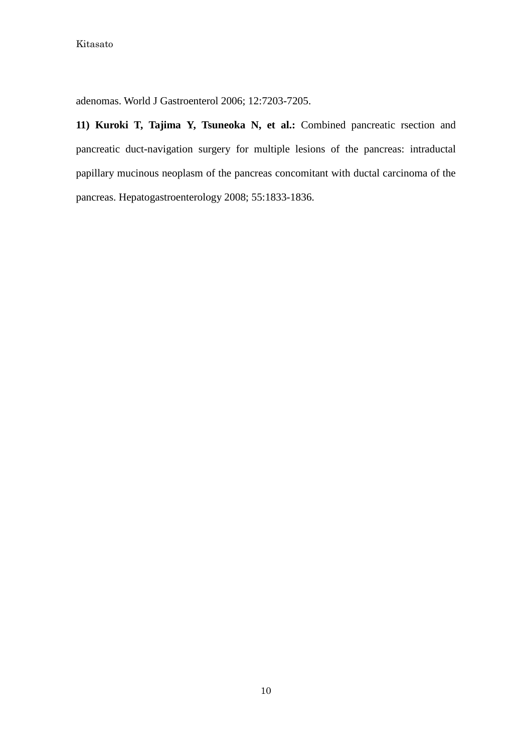adenomas. World J Gastroenterol 2006; 12:7203-7205.

**11) Kuroki T, Tajima Y, Tsuneoka N, et al.:** Combined pancreatic rsection and pancreatic duct-navigation surgery for multiple lesions of the pancreas: intraductal papillary mucinous neoplasm of the pancreas concomitant with ductal carcinoma of the pancreas. Hepatogastroenterology 2008; 55:1833-1836.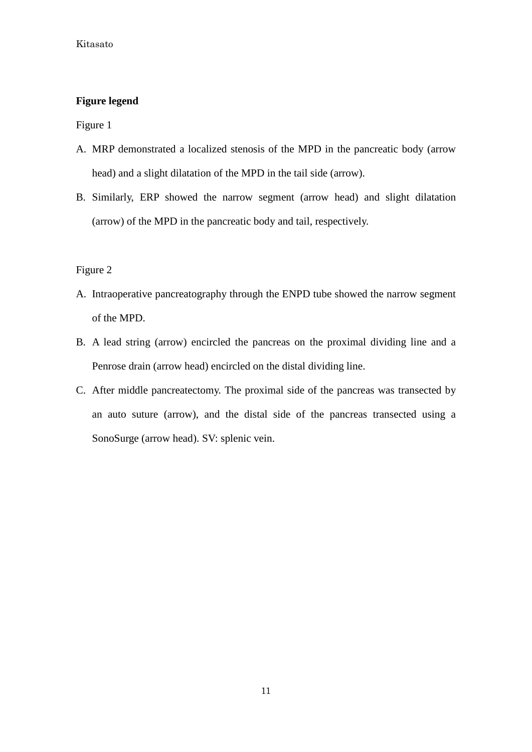## **Figure legend**

Figure 1

- A. MRP demonstrated a localized stenosis of the MPD in the pancreatic body (arrow head) and a slight dilatation of the MPD in the tail side (arrow).
- B. Similarly, ERP showed the narrow segment (arrow head) and slight dilatation (arrow) of the MPD in the pancreatic body and tail, respectively.

## Figure 2

- A. Intraoperative pancreatography through the ENPD tube showed the narrow segment of the MPD.
- B. A lead string (arrow) encircled the pancreas on the proximal dividing line and a Penrose drain (arrow head) encircled on the distal dividing line.
- C. After middle pancreatectomy. The proximal side of the pancreas was transected by an auto suture (arrow), and the distal side of the pancreas transected using a SonoSurge (arrow head). SV: splenic vein.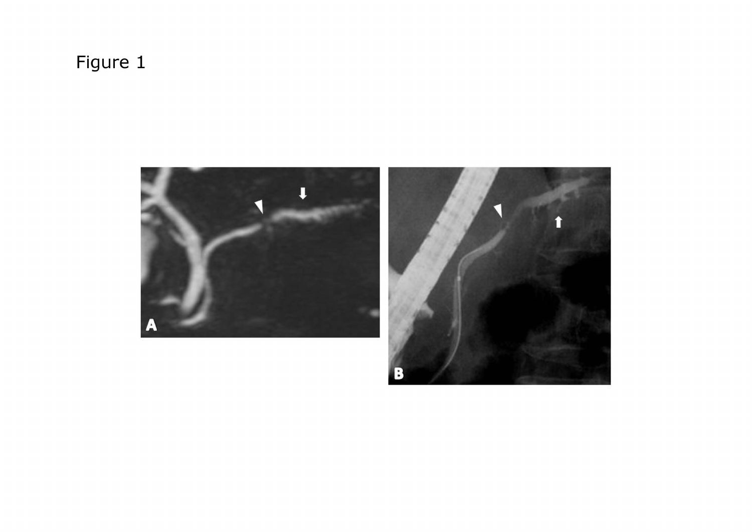# Figure 1